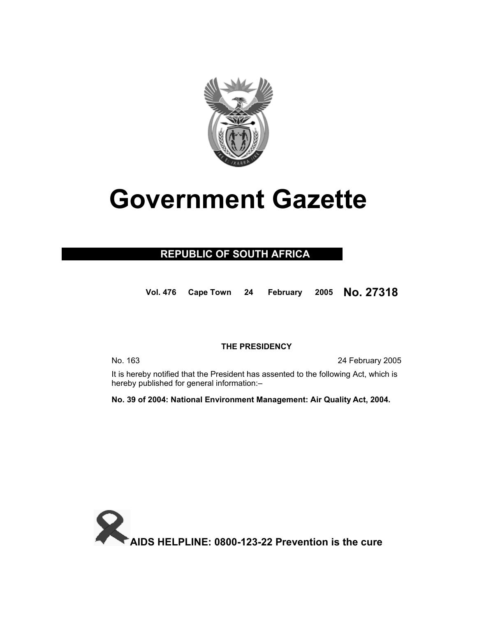

# **Government Gazette**

## **REPUBLIC OF SOUTH AFRICA**

**Vol. 476 Cape Town 24 February 2005 No. 27318**

## **THE PRESIDENCY**

No. 163 24 February 2005

 It is hereby notified that the President has assented to the following Act, which is hereby published for general information:–

**No. 39 of 2004: National Environment Management: Air Quality Act, 2004.** 

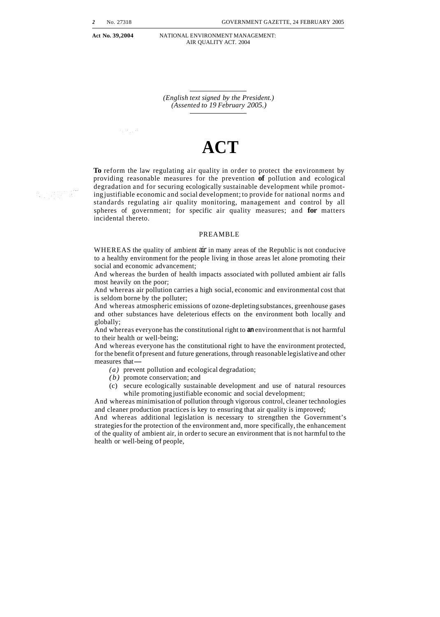a ngun

Act No. 39.2004 **NATIONAL ENVIRONMENT MANAGEMENT:** AIR QUALITY ACT. 2004

> *(English text signed by the President.) (Assented to 19 February 2005.)*

## **ACT**

**To** reform the law regulating air quality in order to protect the environment by providing reasonable measures for the prevention **of** pollution and ecological degradation and for securing ecologically sustainable development while promoting justifiable economic and social development; to provide for national norms and standards regulating air quality monitoring, management and control by all spheres of government; for specific air quality measures; and **for** matters incidental thereto.

#### PREAMBLE

WHEREAS the quality of ambient air in many areas of the Republic is not conducive to a healthy environment for the people living in those areas let alone promoting their social and economic advancement;

And whereas the burden of health impacts associated with polluted ambient air falls most heavily on the poor;

And whereas air pollution carries a high social, economic and environmental cost that is seldom borne by the polluter;

And whereas atmospheric emissions of ozone-depleting substances, greenhouse gases and other substances have deleterious effects on the environment both locally and globally;

And whereas everyone has the constitutional right to **an** environment that is not harmful to their health or well-being;

And whereas everyone has the constitutional right to have the environment protected, for the benefit of present and future generations, through reasonable legislative and other And whereas ever<br>for the benefit of pr<br>measures that-

- *(a)* prevent pollution and ecological degradation;
- *(b)* promote conservation; and
- (c) secure ecologically sustainable development and use of natural resources while promoting justifiable economic and social development;

And whereas minimisation of pollution through vigorous control, cleaner technologies and cleaner production practices is key to ensuring that air quality is improved;

And whereas additional legislation is necessary to strengthen the Government's strategies for the protection of the environment and, more specifically, the enhancement of the quality of ambient air, in order to secure an environment that is not harmful to the health or well-being of people,

t, Agen.K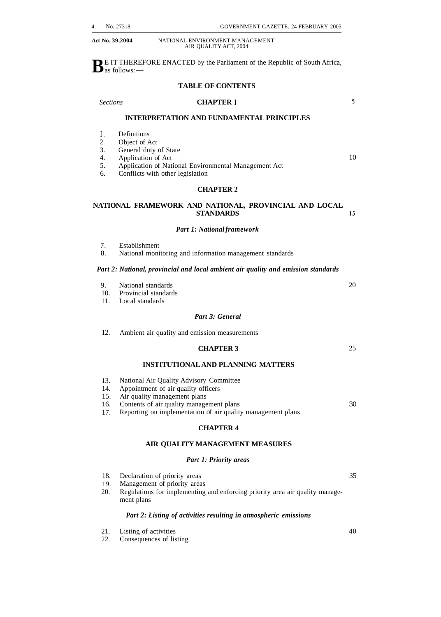**B E IT THEREFORE ENACTED by the Parliament of the Republic of South Africa,**  $\mathbf{D}$  as follows: —

#### **TABLE OF CONTENTS**

#### *Sections* **CHAPTER 1**

5

10

#### **INTERPRETATION AND FUNDAMENTAL PRINCIPLES**

- 1. Definitions<br>2. Object of A
- Object of Act
- 3. General duty of State
- 

4. Application of Act<br>5. Application of Nati 5. Application of National Environmental Management Act

6. Conflicts with other legislation

#### **CHAPTER 2**

#### **NATIONAL FRAMEWORK AND NATIONAL, PROVINCIAL AND LOCAL STANDARDS 1.5**

#### *Part 1: National framework*

- 7. Establishment
- National monitoring and information management standards

#### *Part 2: National, provincial and local ambient air quality and emission standards*

- 9. National standards
- 10. Provincial standards
- 11. Local standards

#### *Part 3: General*

12. Ambient air quality and emission measurements

#### **CHAPTER 3**

**INSTITUTIONAL AND PLANNING MATTERS** 

- 13. National Air Quality Advisory Committee
- 14. Appointment of air quality officers
- 15. Air quality management plans
- 16. Contents of air quality management plans
- 17. Reporting on implementation of air quality management plans

#### **CHAPTER 4**

#### **AIR QUALITY MANAGEMENT MEASURES**

#### *Part 1: Priority areas*

- 18. Declaration of priority areas 35
- 19. Management of priority areas
- 20. Regulations for implementing and enforcing priority area air quality management plans

#### *Part 2: Listing of activities resulting in atmospheric emissions*

- 21. Listing of activities
- 22. Consequences of listing
- 40
- 

20

25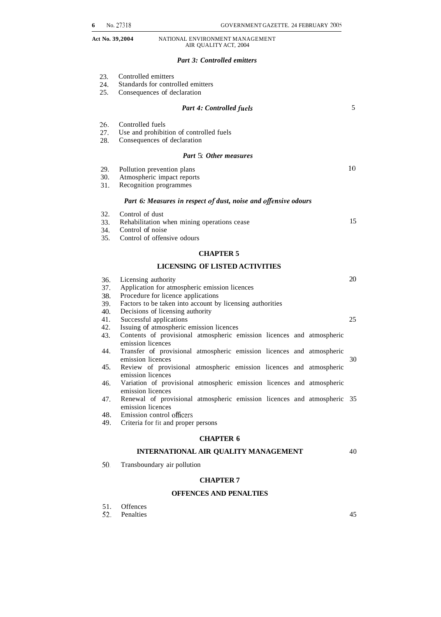#### *Part 3: Controlled emitters*

| 23.<br>24.<br>25.        | Controlled emitters<br>Standards for controlled emitters<br>Consequences of declaration                                                                                 |    |
|--------------------------|-------------------------------------------------------------------------------------------------------------------------------------------------------------------------|----|
|                          | <b>Part 4: Controlled fuels</b>                                                                                                                                         | 5  |
| 26.<br>27.<br>28.        | Controlled fuels<br>Use and prohibition of controlled fuels<br>Consequences of declaration                                                                              |    |
|                          | Part 5: Other measures                                                                                                                                                  |    |
| 29.<br>30.<br>31.        | Pollution prevention plans<br>Atmospheric impact reports<br>Recognition programmes                                                                                      | 10 |
|                          | Part 6: Measures in respect of dust, noise and offensive odours                                                                                                         |    |
| 32.<br>33.<br>34.<br>35. | Control of dust<br>Rehabilitation when mining operations cease<br>Control of noise<br>Control of offensive odours                                                       | 15 |
|                          | <b>CHAPTER 5</b>                                                                                                                                                        |    |
|                          | LICENSING OF LISTED ACTIVITIES                                                                                                                                          |    |
| 36.<br>37.<br>38.<br>39. | Licensing authority<br>Application for atmospheric emission licences<br>Procedure for licence applications<br>Factors to be taken into account by licensing authorities | 20 |
| 40.<br>41.               | Decisions of licensing authority<br>Successful applications                                                                                                             | 25 |
| 42.                      | Issuing of atmospheric emission licences                                                                                                                                |    |
| 43.                      | Contents of provisional atmospheric emission licences and atmospheric<br>emission licences                                                                              |    |
| 44.                      | Transfer of provisional atmospheric emission licences and atmospheric<br>emission licences                                                                              | 30 |
| 45.                      | Review of provisional atmospheric emission licences and atmospheric<br>emission licences                                                                                |    |
| 46.                      | Variation of provisional atmospheric emission licences and atmospheric<br>emission licences                                                                             |    |
| 47.                      | Renewal of provisional atmospheric emission licences and atmospheric 35<br>emission licences                                                                            |    |
| 48.<br>49.               | Emission control officers<br>Criteria for fit and proper persons                                                                                                        |    |

#### **CHAPTER 6**

#### **INTERNATIONAL AIR QUALITY MANAGEMENT**  40

*50.*  Transboundary air pollution

#### **CHAPTER 7**

#### **OFFENCES AND PENALTIES**

| 51. | <b>Offences</b> |
|-----|-----------------|
|     | ∍               |

| 52. | Penalties |  |
|-----|-----------|--|
|     |           |  |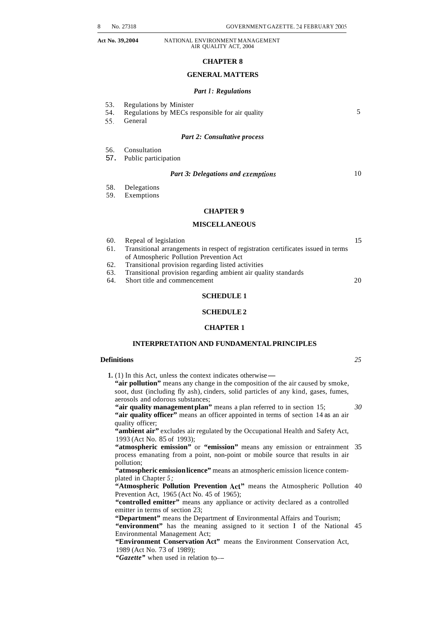#### **CHAPTER 8**

#### **GENERAL MATTERS**

#### *Part I: Regulations*

| 53. | <b>Regulations by Minister</b> |  |
|-----|--------------------------------|--|
|     |                                |  |

54. Regulations by MECs responsible for air quality

*55.* General

#### *Part 2: Consultative process*

- 56. Consultation
- 57. Public participation

#### *Part 3: Delegations and exemptions*

- 58. Delegations
- 59. Exemptions

#### **CHAPTER 9**

#### **MISCELLANEOUS**

| 60. | Repeal of legislation                                                             |  |
|-----|-----------------------------------------------------------------------------------|--|
| 61. | Transitional arrangements in respect of registration certificates issued in terms |  |
|     | of Atmospheric Pollution Prevention Act                                           |  |
| 62. | Transitional provision regarding listed activities                                |  |

- 63. Transitional provision regarding ambient air quality standards
- Short title and commencement 20

#### **SCHEDULE 1**

#### **SCHEDULE 2**

#### **CHAPTER 1**

#### **INTERPRETATION AND FUNDAMENTAL PRINCIPLES**

#### **Definitions** *25*

5

10

**1.** (1) In this Act, unless the context indicates otherwise— **"air pollution"** means any change in the composition of the air caused by smoke, soot, dust (including fly ash), cinders, solid particles of any kind, gases, fumes, aerosols and odorous substances;

**"air quality management plan"** means a plan referred to in section 15; *30*  "air quality officer" means an officer appointed in terms of section 14 as an air quality officer;

**"ambient air"** excludes air regulated by the Occupational Health and Safety Act, 1993 (Act No. 85 of 1993);

**"atmospheric emission"** or **"emission"** means any emission or entrainment 35 process emanating from a point, non-point or mobile source that results in air pollution;

**"atmospheric emission licence"** means an atmospheric emission licence contemplated in Chapter *5;* 

"Atmospheric Pollution Prevention Act" means the Atmospheric Pollution 40 Prevention Act, 1965 (Act No. 45 of 1965);

"controlled emitter" means any appliance or activity declared as a controlled emitter in terms of section 23;

**"Department"** means the Department of Environmental Affairs and Tourism;

"environment" has the meaning assigned to it section 1 of the National 45 Environmental Management Act;

**"Environment Conservation Act"** means the Environment Conservation Act, 1989 (Act No. 73 of 1989);

"Gazette" when used in relation to-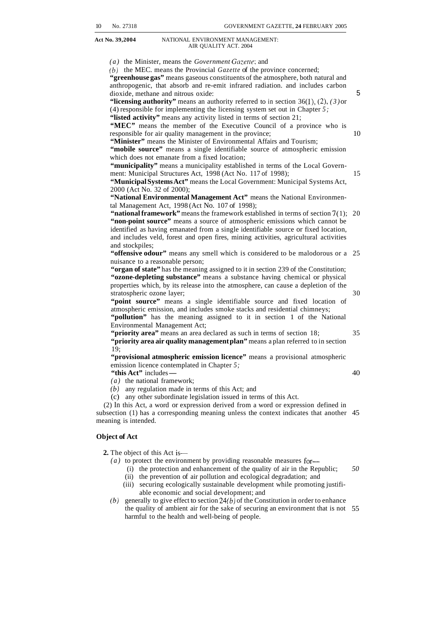*(a)* the Minister, means the *Government Gazerre;* and

*(b)* the MEC. means the Provincial *Gazette* of the province concerned;

**"greenhouse gas"** means gaseous constituents of the atmosphere, both natural and anthropogenic, that absorb and re-emit infrared radiation. and includes carbon dioxide, methane and nitrous oxide:

"licensing authority" means an authority referred to in section  $36(1)$ ,  $(2)$ ,  $(3)$  or (4) responsible for implementing the licensing system set out in Chapter *5;*  **"listed activity"** means any activity listed in terms of section 21;

"MEC" means the member of the Executive Council of a province who is responsible for air quality management in the province;

**"Minister"** means the Minister of Environmental Affairs and Tourism; "mobile source" means a single identifiable source of atmospheric emission which does not emanate from a fixed location;

"municipality" means a municipality established in terms of the Local Government: Municipal Structures Act, 1998 (Act No. 117 of 1998);

**"Municipal Systems Act"** means the Local Government: Municipal Systems Act, 2000 (Act No. 32 of 2000);

**"National Environmental Management Act"** means the National Environmental Management Act, 1998 (Act No. 107 of 1998);

**"national framework"** means the framework established in terms of section 7(1); 20 **"non-point source"** means a source of atmospheric emissions which cannot be identified as having emanated from a single identifiable source or fixed location, and includes veld, forest and open fires, mining activities, agricultural activities and stockpiles;

**"offensive odour"** means any smell which is considered to be malodorous or a 25 nuisance to a reasonable person;

**"organ of state"** has the meaning assigned to it in section 239 of the Constitution; **"ozone-depleting substance"** means a substance having chemical or physical properties which, by its release into the atmosphere, can cause a depletion of the stratospheric ozone layer;

**"point source"** means a single identifiable source and fixed location of atmospheric emission, and includes smoke stacks and residential chimneys;

"pollution" has the meaning assigned to it in section 1 of the National Environmental Management Act;

"**priority area**" means an area declared as such in terms of section 18; **"priority area air quality management plan"** means a plan referred to in section 19;

**"provisional atmospheric emission licence"** means a provisional atmospheric emission licence contemplated in Chapter 5;<br>"this Act" includes —<br>(a) the national framework: emission licence contemplated in Chapter 5;<br>
"this Act" includes —

*(a)* the national framework;

- $(b)$  any regulation made in terms of this Act; and
- (c) any other subordinate legislation issued in terms of this Act.

(2) In this Act, a word or expression derived from a word or expression defined in subsection (1) has a corresponding meaning unless the context indicates that another 45 meaning is intended.

#### **Object of Act**

**2.** The object of this Act is—

- *(a)* to protect the environment by providing reasonable measures for-
	- (i) the protection and enhancement of the quality of air in the Republic; (ii) the prevention of air pollution and ecological degradation; and *50*
	- (iii) securing ecologically sustainable development while promoting justifi-
	- able economic and social development; and
- *(b)* generally to give effect to section *24(b)* of the Constitution in order to enhance the quality of ambient air for the sake of securing an environment that is not 55 harmful to the health and well-being of people.

30

5

10

15

35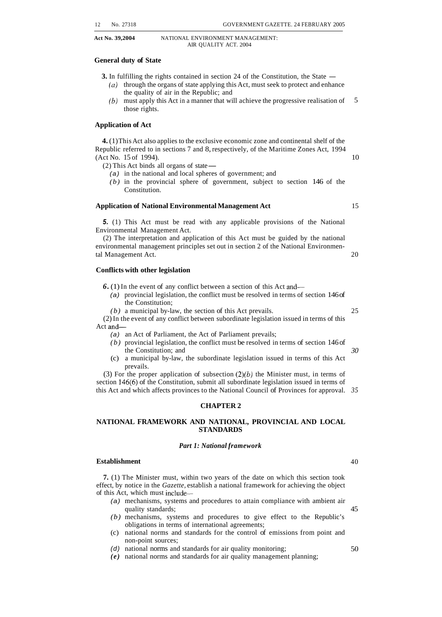<span id="page-6-0"></span>

#### **General duty of State**

**3.** In fulfilling the rights contained in section 24 of the Constitution, the State  $-$ 

- $(a)$  through the organs of state applying this Act, must seek to protect and enhance the quality of air in the Republic; and
- *(b)* must apply this Act in a manner that will achieve the progressive realisation of those rights. 5

#### **Application of Act**

**4.** (1) This Act also applies to the exclusive economic zone and continental shelf of the Republic referred to in sections 7 and 8, respectively, of the Maritime Zones Act, 1994 (Act No. 15 of 1994).

 $(2)$  This Act binds all organs of state $-$ 

- *(a)* in the national and local spheres of government; and
- *(b)* in the provincial sphere of government, subject to section 146 of the Constitution.

#### **Application of National Environmental Management Act**

*5.* (1) This Act must be read with any applicable provisions of the National Environmental Management Act.

(2) The interpretation and application of this Act must be guided by the national environmental management principles set out in section 2 of the National Environmental Management Act.

#### **Conflicts with other legislation**

*6.* (1) In the event of any conflict between a section of this Act and-

- *(a)* provincial legislation, the conflict must be resolved in terms of section 146 of the Constitution;
- *(b)* a municipal by-law, the section of this Act prevails.

(2) In the event of any conflict between subordinate legislation issued in terms of this Act and-

- *(a)* an Act of Parliament, the Act of Parliament prevails;
- *(b)* provincial legislation, the conflict must be resolved in terms of section 146 of the Constitution; and
- (c) a municipal by-law, the subordinate legislation issued in terms of this Act prevails.

(3) For the proper application of subsection  $(2)(b)$  the Minister must, in terms of section 146(6) of the Constitution, submit all subordinate legislation issued in terms of this Act and which affects provinces to the National Council of Provinces for approval. *35* 

#### **CHAPTER 2**

#### **NATIONAL FRAMEWORK AND NATIONAL, PROVINCIAL AND LOCAL STANDARDS**

#### *Part 1: National framework*

#### **Establishment**

**7.** (1) The Minister must, within two years of the date on which this section took effect, by notice in the *Gazette,* establish a national framework for achieving the object of this Act, which must include-

- *(a)* mechanisms, systems and procedures to attain compliance with ambient air quality standards;
- *(b)* mechanisms, systems and procedures to give effect to the Republic's obligations in terms of international agreements;
- (c) national norms and standards for the control of emissions from point and non-point sources;
- *(d)* national norms and standards for air quality monitoring;
- *(e)* national norms and standards for air quality management planning;

40

45

50

25

*30* 

15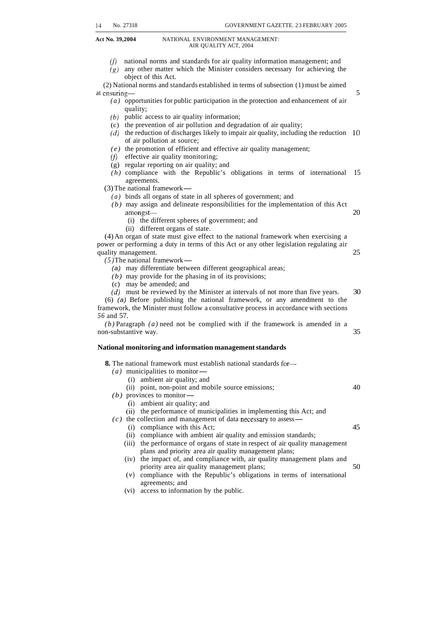- (f) national norms and standards for air quality information management; and  $(g)$  any other matter which the Minister considers necessary for achieving the (2) National norms and standards established in terms of subsection (1) must be aimed at ensuring- $\frac{5}{5}$ *(a)* opportunities for public participation in the protection and enhancement of air *(6)* public access to air quality information; (c) the prevention of air pollution and degradation of air quality; *(d)* the reduction of discharges likely to impair air quality, including the reduction 10 *(e)* the promotion of efficient and effective air quality management; *(f)* effective air quality monitoring; (g) regular reporting on air quality; and *(h)* compliance with the Republic's obligations in terms of international 15 agreements.<br>
(3) The national framework —<br>  $(a)$  binds all groups of state in all spheres of government; and object of this Act. quality; of air pollution at source; agreements. *(a)* binds all organs of state in all spheres of government; and *(b)* may assign and delineate responsibilities for the implementation of this Act amongst— 20 (i) the different spheres of government; and (ii) different organs of state. (4) An organ of state must give effect to the national framework when exercising a power or performing a duty in terms of this Act or any other legislation regulating air quality management.<br>
(5) The national framework—<br>
(6) may differentiate between different coorresponding areas: quality management. 25 *(a)* may differentiate between different geographical areas; *(b)* may provide for the phasing in of its provisions; (c) may be amended; and *(d)* must be reviewed by the Minister at intervals of not more than five years. 30 (6) *(a)* Before publishing the national framework, or any amendment to the framework, the Minister must follow a consultative process in accordance with sections *56* and 57. *(b)* Paragraph *(a)* need not be complied with if the framework is amended in a non-substantive way. 35 **National monitoring and information management standards 8.** The national framework must establish national standards for- The national framework must estable *(a)* municipalities to monitor-<br>(a) substant  $\sin$  and  $\sin$ (i) ambient air quality; and (ii) point, non-point and mobile source emissions; 40 (i) ambient air quality; and (ii) the performance of municipalities in implementing this Act; and (i) compliance with this Act; 45 (ii) compliance with ambient air quality and emission standards; (iii) the performance of organs of state in respect of air quality management *(b)* provinces to monitor-*(c)* the collection and management of data necessary to assessplans and priority area air quality management plans;
	- (iv) the impact of, and compliance with, air quality management plans and priority area air quality management plans; 50
	- **(v)** compliance with the Republic's obligations in terms of international agreements; and
	- (vi) access to information by the public.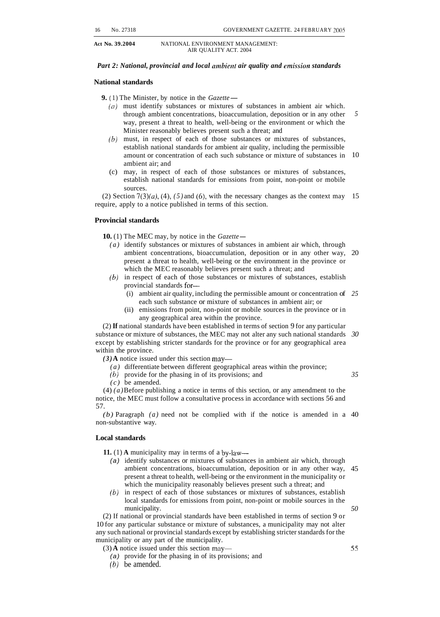#### *Part 2: National, provincial and local ambient air quality and emission standards*

#### **National standards**

**9.** (1) The Minister, by notice in the *Gazette* —

- *(0)* must identify substances or mixtures of substances in ambient air which. through ambient concentrations, bioaccumulation, deposition or in any other way, present a threat to health, well-being or the environment or which the Minister reasonably believes present such a threat; and *5*
- *(b)* must, in respect of each of those substances or mixtures of substances, establish national standards for ambient air quality, including the permissible amount or concentration of each such substance or mixture of substances in ambient air; and 10
- (c) may, in respect of each of those substances or mixtures of substances, establish national standards for emissions from point, non-point or mobile sources.

(2) Section  $7(3)(a)$ , (4), (5) and (6), with the necessary changes as the context may 15 require, apply to a notice published in terms of this section.

#### **Provincial standards**

**10.** (1) The MEC may, by notice in the *Gazette* –

- *(a)* identify substances or mixtures of substances in ambient air which, through ambient concentrations, bioaccumulation, deposition or in any other way, present a threat to health, well-being or the environment in the province or which the MEC reasonably believes present such a threat; and 20
- *(b)* in respect of each of those substances or mixtures of substances, establish provincial standards for-
	- (i) ambient air quality, including the permissible amount or concentration of *25*  each such substance or mixture of substances in ambient air; or
	- (ii) emissions from point, non-point or mobile sources in the province or in any geographical area within the province.

(2) **If** national standards have been established in terms of section 9 for any particular substance or mixture of substances, the MEC may not alter any such national standards *30*  except by establishing stricter standards for the province or for any geographical area within the province.

 $(3)$  **A** notice issued under this section may—

- *(a)* differentiate between different geographical areas within the province;
- *(6)* provide for the phasing in of its provisions; and

*35* 

*(c)* be amended. (4) *(a)* Before publishing a notice in terms of this section, or any amendment to the notice, the MEC must follow a consultative process in accordance with sections 56 and 57.

*(b)* Paragraph *(a)* need not be complied with if the notice is amended in a 40 non-substantive way.

#### **Local standards**

**11.** (1) **A** municipality may in terms of a by-law-

- *(a)* identify substances or mixtures of substances in ambient air which, through ambient concentrations, bioaccumulation, deposition or in any other way, present a threat to health, well-being or the environment in the municipality or which the municipality reasonably believes present such a threat; and 45
- *(6)* in respect of each of those substances or mixtures of substances, establish local standards for emissions from point, non-point or mobile sources in the municipality.

(2) If national or provincial standards have been established in terms of section 9 or 10 for any particular substance or mixture of substances, a municipality may not alter any such national or provincial standards except by establishing stricter standards for the municipality or any part of the municipality.

- $(3)$  **A** notice issued under this section may—
	- *(a)* provide for the phasing in of its provisions; and
	- *(b)* be amended.

*55*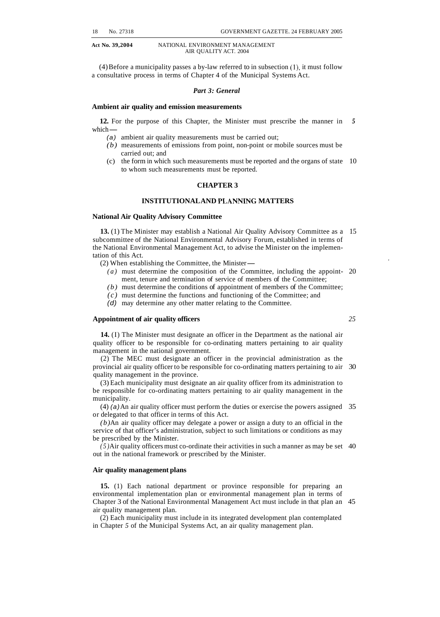(4) Before a municipality passes a by-law referred to in subsection  $(1)$ , it must follow a consultative process in terms of Chapter 4 of the Municipal Systems Act.

#### *Part 3: General*

#### **Ambient air quality and emission measurements**

**12.** For the purpose of this Chapter, the Minister must prescribe the manner in *5*   $\frac{12.}{\text{For}}$ <br>which  $\frac{1}{\sqrt{2}}$ 

*(a)* ambient air quality measurements must be carried out;

- *(b)* measurements of emissions from point, non-point or mobile sources must be carried out; and
- (c) the form in which such measurements must be reported and the organs of state 10 to whom such measurements must be reported.

#### **CHAPTER 3**

#### **INSTITUTIONAL AND PLANNLNG MATTERS**

#### **National Air Quality Advisory Committee**

**13.** (1) The Minister may establish a National Air Quality Advisory Committee as a 15 subcommittee of the National Environmental Advisory Forum, established in terms of the National Environmental Management Act, to advise the Minister on the implementation of this Act.

(2) When establishing the Committee, the Minister-

- *(a)* must determine the composition of the Committee, including the appoint- 20 ment, tenure and termination of service of members of the Committee;
- *(b)* must determine the conditions of appointment of members of the Committee;
- *(c)* must determine the functions and functioning of the Committee; and
- *(d)* may determine any other matter relating to the Committee.

#### **Appointment of air quality officers** *25*

**14.** (I) The Minister must designate an officer in the Department as the national air quality officer to be responsible for co-ordinating matters pertaining to air quality management in the national government.

(2) The MEC must designate an officer in the provincial administration as the provincial air quality officer to be responsible for co-ordinating matters pertaining to air 30 quality management in the province.

(3) Each municipality must designate an air quality officer from its administration to be responsible for co-ordinating matters pertaining to air quality management in the municipality.

(4) *(a)* An air quality officer must perform the duties or exercise the powers assigned 35 or delegated to that officer in terms of this Act.

*(b)* An air quality officer may delegate a power or assign a duty to an official in the service of that officer's administration, subject to such limitations or conditions as may be prescribed by the Minister.

out in the national framework or prescribed by the Minister. *(5)* Air quality officers must co-ordinate their activities in such a manner as may be set 40

#### **Air quality management plans**

**15.** (1) Each national department or province responsible for preparing an environmental implementation plan or environmental management plan in terms of Chapter 3 of the National Environmental Management Act must include in that plan an 45 air quality management plan.

in Chapter *5* of the Municipal Systems Act, an air quality management plan. (2) Each municipality must include in its integrated development plan contemplated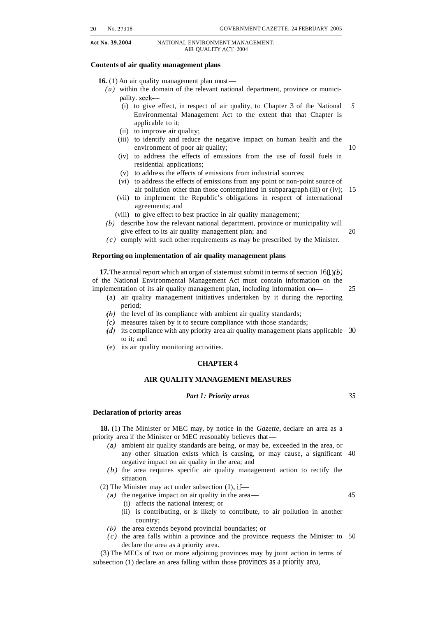*20* No. 273 18 GOVERNMENT GAZETTE. 24 FEBRUARY 2005

**Act No. 39,2004** NATIONAL ENVIRONMENT MANAGEMENT: AIR QUALITY ACT. 2004

#### **Contents of air quality management plans**

**16.** (1) An air quality management plan must—

- *(a)* within the domain of the relevant national department, province or municipality. seek-
	- (i) to give effect, in respect of air quality, to Chapter 3 of the National *5*  Environmental Management Act to the extent that that Chapter is applicable to it;
	- (ii) to improve air quality;
	- (iii) to identify and reduce the negative impact on human health and the environment of poor air quality; 10
	- (iv) to address the effects of emissions from the use of fossil fuels in residential applications;
	- (v) to address the effects of emissions from industrial sources;
	- (vi) to address the effects of emissions from any point or non-point source of air pollution other than those contemplated in subparagraph (iii) or (iv); 15
	- (vii) to implement the Republic's obligations in respect of international agreements; and
	- (viii) to give effect to best practice in air quality management;
- *(6)* describe how the relevant national department, province or municipality will give effect to its air quality management plan; and 20
- *(c)* comply with such other requirements as may be prescribed by the Minister.

#### **Reporting on implementation of air quality management plans**

**17.** The annual report which an organ of state must submit in terms of section  $16(1)(b)$ of the National Environmental Management Act must contain information on the implementation of its air quality management plan, including information on-<br>25

- (a) air quality management initiatives undertaken by it during the reporting period;
- *(b)* the level of its compliance with ambient air quality standards;
- *(c)* measures taken by it to secure compliance with those standards;
- *(d)* its compliance with any priority area air quality management plans applicable 30 to it; and
- (e) its air quality monitoring activities.

#### **CHAPTER 4**

#### **AIR QUALITY MANAGEMENT MEASURES**

#### *Part I: Priority areas 35*

#### **Declaration of priority areas**

**18.** (1) The Minister or MEC may, by notice in the *Gazette,* declare an area as a **18.** (1) The Minister or MEC may, by notice in the *Gazette* priority area if the Minister or MEC reasonably believes that-

- *(a)* ambient air quality standards are being, or may be, exceeded in the area, or any other situation exists which is causing, or may cause, a significant 40 negative impact on air quality in the area; and
- situation. *(b)* the area requires specific air quality management action to rectify the

 $(2)$  The Minister may act under subsection  $(1)$ , if-

- (a) the negative impact on air quality in the area- 45
	- (i) affects the national interest; or
	- (ii) is contributing, or is likely to contribute, to air pollution in another country;
- *(b)* the area extends beyond provincial boundaries; or
- *(c)* the area falls within a province and the province requests the Minister to 50 declare the area as a priority area.

(3) The MECs of two or more adjoining provinces may by joint action in terms of subsection (1) declare an area falling within those provinces as a priority area,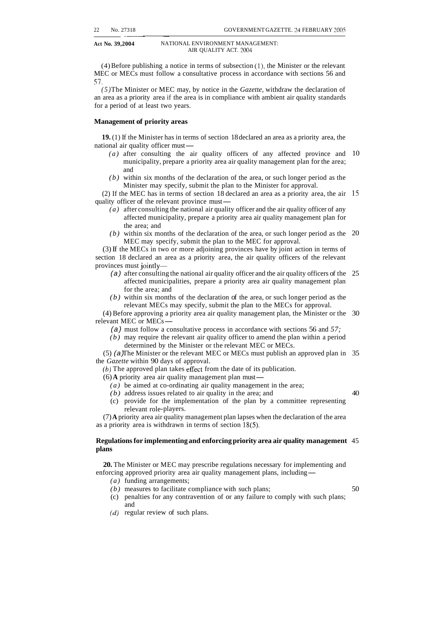$(4)$  Before publishing a notice in terms of subsection  $(1)$ , the Minister or the relevant MEC or MECs must follow a consultative process in accordance with sections 56 and *51.* 

*(5)* The Minister or MEC may, by notice in the *Gazette,* withdraw the declaration of an area as a priority area if the area is in compliance with ambient air quality standards for a period of at least two years.

#### **Management of priority areas**

~~~~~ ~ ~~

**19.** (1) If the Minister has in terms of section 18 declared an area as a priority area, the 19. (1) If the Minister has in term<br>national air quality officer must—<br> $(a)$  offer consulting, the eight

- (a) after consulting the air quality officers of any affected province and 10 municipality, prepare a priority area air quality management plan for the area; and
- *(b)* within six months of the declaration of the area, or such longer period as the Minister may specify, submit the plan to the Minister for approval.

(2) If the MEC has in terms of section 18 declared an area as a priority area, the air 15 quality officer of the relevant province must—

- *(a)* after consulting the national air quality officer and the air quality officer of any affected municipality, prepare a priority area air quality management plan for the area; and
- *(b)* within six months of the declaration of the area, or such longer period as the 20 MEC may specify, submit the plan to the MEC for approval.

(3) If the MECs in two or more adjoining provinces have by joint action in terms of section 18 declared an area as a priority area, the air quality officers of the relevant provinces must jointly-

- (a) after consulting the national air quality officer and the air quality officers of the 25 affected municipalities, prepare a priority area air quality management plan for the area; and
- *(b)* within six months of the declaration of the area, or such longer period as the relevant MECs may specify, submit the plan to the MECs for approval.

(4) Before approving a priority area air quality management plan, the Minister or the relevant MECs n<br>
(4) Before approving a p<br>
relevant MEC or MECs —<br>
(2) must follow a con-30

- *(a)* must follow a consultative process in accordance with sections 56 and *57;*
- *(b)* may require the relevant air quality officer to amend the plan within a period determined by the Minister or the relevant MEC or MECs.

(5) *(a)* The Minister or the relevant MEC or MECs must publish an approved plan in 35 Exercise Equality A approved plan takes effect from the date of its p<br>(b) The approved plan takes effect from the date of its p<br>(6) A priority area air quality management plan must—<br> $\frac{1}{2}$ the *Gazette* within 90 days of approval.

*(b)* The approved plan takes effect from the date of its publication.

- *(a)* be aimed at co-ordinating air quality management in the area;
- *(b)* address issues related to air quality in the area; and
- (c) provide for the implementation of the plan by a committee representing relevant role-players.

(7) **A** priority area air quality management plan lapses when the declaration of the area as a priority area is withdrawn in terms of section 18(5).

#### **Regulations for implementing and enforcing priority area air quality management**  45 **plans**

**20.** The Minister or MEC may prescribe regulations necessary for implementing and **20.** The Minister or MEC may prescribe regulations necessary for implement enforcing approved priority area air quality management plans, including —

- *(a)* funding arrangements;
- *(b)* measures to facilitate compliance with such plans;
- (c) penalties for any contravention of or any failure to comply with such plans; and
- *(d)* regular review of such plans.

50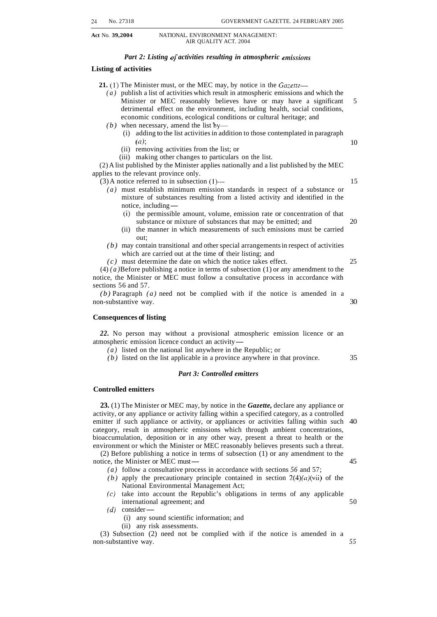#### *Part 2: Listing of activities resulting in atmospheric emissions*

#### **Listing of activities**

**21. (1)** The Minister must, or the MEC may, by notice in the *Gazerre-* 

- *(a)* publish a list of activities which result in atmospheric emissions and which the Minister or MEC reasonably believes have or may have a significant 5 detrimental effect on the environment, including health, social conditions, economic conditions, ecological conditions or cultural heritage; and
- $(b)$  when necessary, amend the list by-
	- (i) adding to the list activities in addition to those contemplated in paragraph *(a);* 10
	- (ii) removing activities from the list; or
	- (iii) making other changes to particulars on the list.

(2) A list published by the Minister applies nationally and a list published by the MEC applies to the relevant province only.

 $(3)$  A notice referred to in subsection  $(1)$ — $\qquad$  15

- 
- (*a*) must establish minimum emission standards in respect of a substance or mixture of substances resulting from a listed activity and identified in the notice, including  $\frac{1}{\sqrt{2}}$  is a commissible amount valume emiss mixture of substances resulting from a listed activity and identified in the
	- (i) the permissible amount, volume, emission rate or concentration of that substance or mixture of substances that may be emitted; and 20
	- (ii) the manner in which measurements of such emissions must be carried out;
- *(b)* may contain transitional and other special arrangements in respect of activities which are carried out at the time of their listing; and
- *(c)* must determine the date on which the notice takes effect. 25

(4) *(a)* Before publishing a notice in terms of subsection (1) or any amendment to the notice, the Minister or MEC must follow a consultative process in accordance with sections 56 and 57.

*(b)* Paragraph *(a)* need not be complied with if the notice is amended in a non-substantive way. 30

#### **Consequences of listing**

*22.* No person may without a provisional atmospheric emission licence or an 22. No person may without a provisional atmos<br>atmospheric emission licence conduct an activity-<br> $(a)$  listed on the notional list envelope in the B

*(a)* listed on the national list anywhere in the Republic; or

*(b)* listed on the list applicable in a province anywhere in that province. 35

#### *Part 3: Controlled emitters*

#### **Controlled emitters**

**23.** (1) The Minister or MEC may, by notice in the *Gazette,* declare any appliance or activity, or any appliance or activity falling within a specified category, as a controlled emitter if such appliance or activity, or appliances or activities falling within such 40 category, result in atmospheric emissions which through ambient concentrations, bioaccumulation, deposition or in any other way, present a threat to health or the

environment or which the Minister or MEC reasonably believes presents such a threat.<br>
(2) Before publishing a notice in terms of subsection (1) or any amendment to the notice, the Minister or MEC must—<br>  $(5)$  and  $(6)$  fo (2) Before publishing a notice in terms of subsection (1) or any amendment to the

- *(a)* follow a consultative process in accordance with sections *56* and 57;
- *(b)* apply the precautionary principle contained in section  $2(4)(a)(vi)$  of the National Environmental Management Act;
- *(c)* take into account the Republic's obligations in terms of any applicable international agreement; and  $(d)$  consider  $(i)$  any sound scientific information; and international agreement; and 50
- - (i) any sound scientific information; and
	- (ii) any risk assessments.

(3) Subsection (2) need not be complied with if the notice is amended in a non-substantive way. *55*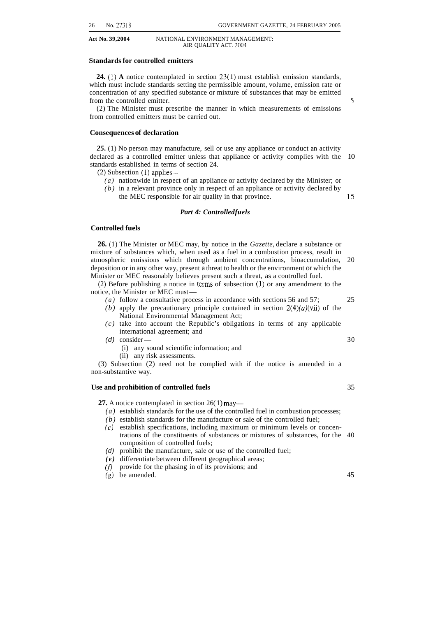#### **Standards for controlled emitters**

**24.** (1) **A** notice contemplated in section 23(1) must establish emission standards, which must include standards setting the permissible amount, volume, emission rate or concentration of any specified substance or mixture of substances that may be emitted from the controlled emitter. *S* 

(2) The Minister must prescribe the manner in which measurements of emissions from controlled emitters must be carried out.

#### **Consequences of declaration**

*25.* (1) No person may manufacture, sell or use any appliance or conduct an activity declared as a controlled emitter unless that appliance or activity complies with the 10 standards established in terms of section 24.

 $(2)$  Subsection  $(1)$  applies—

- *(a)* nationwide in respect of an appliance or activity declared by the Minister; or
- *(b)* in a relevant province only in respect of an appliance or activity declared by
	- the MEC responsible for air quality in that province. 15

#### *Part 4: Controlled fuels*

#### **Controlled fuels**

**26.** (1) The Minister or MEC may, by notice in the *Gazette,* declare a substance or mixture of substances which, when used as a fuel in a combustion process, result in atmospheric emissions which through ambient concentrations, bioaccumulation, 20 deposition or in any other way, present a threat to health or the environment or which the

Minister or MEC reasonably believes present such a threat, as a controlled fuel.<br>
(2) Before publishing a notice in terms of subsection (1) or any amendment<br>
notice, the Minister or MEC must—<br>
(a) follow a consultative pr (2) Before publishing a notice in terms of subsection  $(1)$  or any amendment to the notice, the Minister or MEC must—

- *(a)* follow a consultative process in accordance with sections 56 and 57; 25
- *(b)* apply the precautionary principle contained in section  $2(4)(a)(vii)$  of the National Environmental Management Act;
- *(c)* take into account the Republic's obligations in terms of any applicable international agreement; and  $(d)$  consider  $(i)$ , any sound scientific information; and international agreement; and  $(d)$  consider —
- - (i) any sound scientific information; and
	- (ii) any risk assessments.

(3) Subsection (2) need not be complied with if the notice is amended in a non-substantive way.

#### **Use and prohibition of controlled fuels** 35

**27.** A notice contemplated in section 26(1) may—

- *(a)* establish standards for the use of the controlled fuel in combustion processes;
- *(b)* establish standards for the manufacture or sale of the controlled fuel;
- *(c)* establish specifications, including maximum or minimum levels or concentrations of the constituents of substances or mixtures of substances, for the 40 composition of controlled fuels;
- *(d)* prohibit the manufacture, sale or use of the controlled fuel;
- *(e)* differentiate between different geographical areas;
- (f) provide for the phasing in of its provisions; and
- $(q)$  be amended. 45

- 
- 
- 

- 
-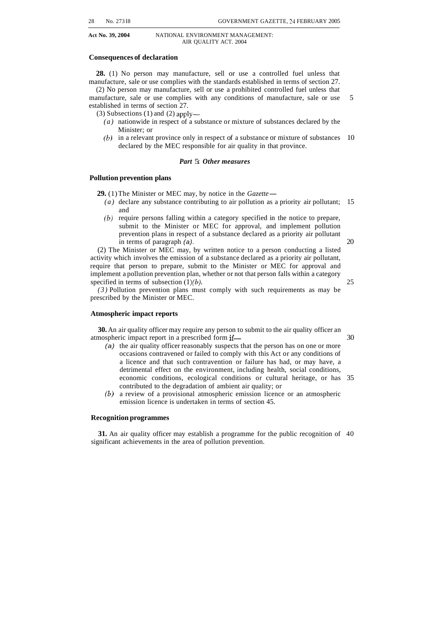#### **Consequences of declaration**

**28.** (1) No person may manufacture, sell or use a controlled fuel unless that manufacture, sale or use complies with the standards established in terms of section 27. (2) No person may manufacture, sell or use a prohibited controlled fuel unless that

manufacture, sale or use complies with any conditions of manufacture, sale or use 5 established in terms of section 27.

(3) Subsections (1) and (2) apply-

- *(a)* nationwide in respect of a substance or mixture of substances declared by the Minister; or
- *(b)* in a relevant province only in respect of a substance or mixture of substances 10 declared by the MEC responsible for air quality in that province.

#### *Part* 5: *Other measures*

#### **Pollution prevention plans**

**29.** (1) The Minister or MEC may, by notice in the *Gazette* —

- *(a)* declare any substance contributing to air pollution as a priority air pollutant; 15 and
- *(b)* require persons falling within a category specified in the notice to prepare, submit to the Minister or MEC for approval, and implement pollution prevention plans in respect of a substance declared as a priority air pollutant in terms of paragraph *(a)*. 20

(2) The Minister or MEC may, by written notice to a person conducting a listed activity which involves the emission of a substance declared as a priority air pollutant, require that person to prepare, submit to the Minister or MEC for approval and implement a pollution prevention plan, whether or not that person falls within a category specified in terms of subsection  $(1)(b)$ . 25

*(3)* Pollution prevention plans must comply with such requirements as may be prescribed by the Minister or MEC.

#### **Atmospheric impact reports**

**30.** An air quality officer may require any person to submit to the air quality officer an atmospheric impact report in a prescribed form if— $\sim$  30

*(a)* the air quality officer reasonably suspects that the person has on one or more occasions contravened or failed to comply with this Act or any conditions of a licence and that such contravention or failure has had, or may have, a detrimental effect on the environment, including health, social conditions, economic conditions, ecological conditions or cultural heritage, or has 35 contributed to the degradation of ambient air quality; or

emission licence is undertaken in terms of section 45. *(6)* a review of a provisional atmospheric emission licence or an atmospheric

#### **Recognition programmes**

**31.** An air quality officer may establish a programme for the public recognition of 40 significant achievements in the area of pollution prevention.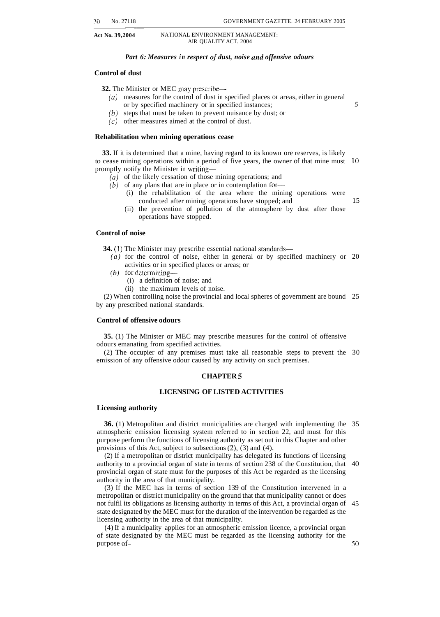#### *Part 6: Measures in respect of dust, noise and offensive odours*

#### **Control of dust**

**32.** The Minister or MEC may prescribe-

- *(0)* measures for the control of dust in specified places or areas, either in general or by specified machinery or in specified instances;
- *(b)* steps that must be taken to prevent nuisance by dust; or
- *(c)* other measures aimed at the control of dust.

#### **Rehabilitation when mining operations cease**

**33.** If it is determined that a mine, having regard to its known ore reserves, is likely to cease mining operations within a period of five years, the owner of that mine must 10 promptly notify the Minister in writing-

- *(a)* of the likely cessation of those mining operations; and
- $(b)$  of any plans that are in place or in contemplation for-
	- (i) the rehabilitation of the area where the mining operations were conducted after mining operations have stopped; and 15
	- (ii) the prevention of pollution of the atmosphere by dust after those operations have stopped.

#### **Control of noise**

**34.** (1) The Minister may prescribe essential national standards—

- *(a)* for the control of noise, either in general or by specified machinery or 20 activities or in specified places or areas; or
- $(b)$  for determining-
	- (i) a definition of noise; and
	- (ii) the maximum levels of noise.

(2) When controlling noise the provincial and local spheres of government are bound 25 by any prescribed national standards.

#### **Control of offensive odours**

**35.** (1) The Minister or MEC may prescribe measures for the control of offensive odours emanating from specified activities.

(2) The occupier of any premises must take all reasonable steps to prevent the 30 emission of any offensive odour caused by any activity on such premises.

#### **CHAPTER 5**

#### **LICENSING OF LISTED ACTIVITIES**

#### **Licensing authority**

**36.** (1) Metropolitan and district municipalities are charged with implementing the 35 atmospheric emission licensing system referred to in section 22, and must for this purpose perform the functions of licensing authority as set out in this Chapter and other provisions of this Act, subject to subsections (2), (3) and (4).

(2) If a metropolitan or district municipality has delegated its functions of licensing authority to a provincial organ of state in terms of section 238 of the Constitution, that 40 provincial organ of state must for the purposes of this Act be regarded as the licensing authority in the area of that municipality.

(3) If the MEC has in terms of section 139 of the Constitution intervened in a metropolitan or district municipality on the ground that that municipality cannot or does not fulfil its obligations as licensing authority in terms of this Act, a provincial organ of 45 state designated by the MEC must for the duration of the intervention be regarded as the licensing authority in the area of that municipality.

(4) If a municipality applies for an atmospheric emission licence, a provincial organ of state designated by the MEC must be regarded as the licensing authority for the purpose of-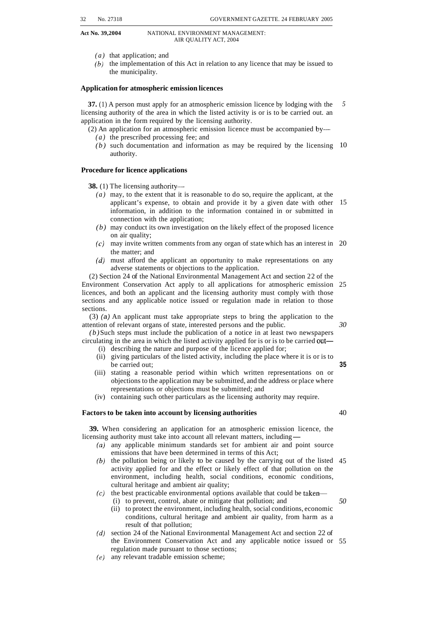- *(a)* that application; and
- *(b)* the implementation of this Act in relation to any licence that may be issued to the municipality.

#### **Application for atmospheric emission licences**

**37.** (1) A person must apply for an atmospheric emission licence by lodging with the licensing authority of the area in which the listed activity is or is to be carried out. an application in the form required by the licensing authority. *5* 

- $(2)$  An application for an atmospheric emission licence must be accompanied by---*(a)* the prescribed processing fee; and
	- *(b)* such documentation and information as may be required by the licensing 10 authority.

#### **Procedure for licence applications**

**38.** (1) The licensing authority-

- *(a)* may, to the extent that it is reasonable to do so, require the applicant, at the applicant's expense, to obtain and provide it by a given date with other 15 information, in addition to the information contained in or submitted in connection with the application;
- *(b)* may conduct its own investigation on the likely effect of the proposed licence on air quality;
- (c) may invite written comments from any organ of state which has an interest in 20 the matter; and
- *(d)* must afford the applicant an opportunity to make representations on any adverse statements or objections to the application.

(2) Section 24 of the National Environmental Management Act and section 22 of the Environment Conservation Act apply to all applications for atmospheric emission 25 licences, and both an applicant and the licensing authority must comply with those sections and any applicable notice issued or regulation made in relation to those sections.

(3) *(a)* An applicant must take appropriate steps to bring the application to the attention of relevant organs of state, interested persons and the public.

*(b)* Such steps must include the publication of a notice in at least two newspapers circulating in the area in which the listed activity applied for is or is to be carried out-

- (i) describing the nature and purpose of the licence applied for;
- (ii) giving particulars of the listed activity, including the place where it is or is to be carried out; **35**
- (iii) stating a reasonable period within which written representations on or objections to the application may be submitted, and the address or place where representations or objections must be submitted; and
- (iv) containing such other particulars as the licensing authority may require.

#### **Factors to be taken into account by licensing authorities**

**39.** When considering an application for an atmospheric emission licence, the licensing authority must take into account all relevant matters, including-

- (a) any applicable minimum standards set for ambient air and point source emissions that have been determined in terms of this Act;
- the pollution being or likely to be caused by the carrying out of the listed 45 activity applied for and the effect or likely effect of that pollution on the environment, including health, social conditions, economic conditions, cultural heritage and ambient air quality;
- $(c)$  the best practicable environmental options available that could be taken-
	- (i) to prevent, control, abate or mitigate that pollution; and
	- (ii) to protect the environment, including health, social conditions, economic conditions, cultural heritage and ambient air quality, from harm as a result of that pollution;
- (d) section 24 of the National Environmental Management Act and section 22 of the Environment Conservation Act and any applicable notice issued or 55 regulation made pursuant to those sections;
- any relevant tradable emission scheme;

#### *30*

40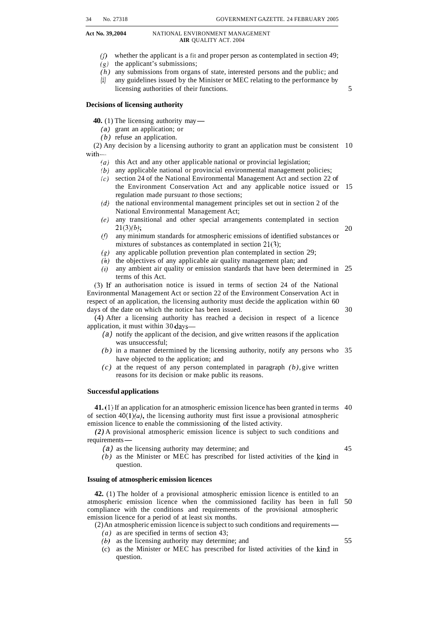**Act No. 39,2004** NATIONAL ENVIRONMENT MANAGEMENT

- $(f)$  whether the applicant is a fit and proper person as contemplated in section 49;
- $(g)$  the applicant's submissions;
- *(h)* any submissions from organs of state, interested persons and the public; and
- *(i)* any guidelines issued by the Minister or MEC relating to the performance by licensing authorities of their functions. 5

#### **Decisions of licensing authority**

**40.** (1) The licensing authority may —

- *(a)* grant an application; or
- *(b)* refuse an application.

(2) Any decision by a licensing authority to grant an application must be consistent 10  $with$ —

- (a) this Act and any other applicable national or provincial legislation;
- $(b)$  any applicable national or provincial environmental management policies;
- $\epsilon(c)$  section 24 of the National Environmental Management Act and section 22 of the Environment Conservation Act and any applicable notice issued or 15 regulation made pursuant *to* those sections;
- $(d)$  the national environmental management principles set out in section 2 of the National Environmental Management Act;
- any transitional and other special arrangements contemplated in section  $21(3)(b)$ ; 20
- $(f)$ any minimum standards for atmospheric emissions of identified substances or mixtures of substances as contemplated in section 21(3);
- any applicable pollution prevention plan contemplated in section 29;  $(g)$
- $(h)$  the objectives of any applicable air quality management plan; and
- $(i)$  any ambient air quality or emission standards that have been determined in 25 terms of this Act.

(3) If an authorisation notice is issued in terms of section 24 of the National Environmental Management Act or section 22 of the Environment Conservation Act in respect of an application, the licensing authority must decide the application within 60 days of the date on which the notice has been issued. 30

(4) After a licensing authority has reached a decision in respect of a licence application, it must within 30 days—

- *(a)* notify the applicant of the decision, and give written reasons if the application was unsuccessful;
- *(b)* in a manner determined by the licensing authority, notify any persons who 35 have objected to the application; and
- *(c)* at the request of any person contemplated in paragraph *(b),* give written reasons for its decision or make public its reasons.

#### **Successful applications**

**41.** (1) If an application for an atmospheric emission licence has been granted in terms 40 of section  $40(1)(a)$ , the licensing authority must first issue a provisional atmospheric

emission licence to enable the commissioning of the listed activity.<br>
(2) A provisional atmospheric emission licence is subject to superiments—<br>
requirements—<br>
(2) as the linearing surfactive may determine and *(2)* A provisional atmospheric emission licence is subject to such conditions and

*(a)* as the licensing authority may determine; and 45

*(b)* as the Minister or MEC has prescribed for listed activities of the kind in question.

#### **Issuing of atmospheric emission licences**

**42.** (1) The holder of a provisional atmospheric emission licence is entitled to an atmospheric emission licence when the commissioned facility has been in full 50 compliance with the conditions and requirements of the provisional atmospheric emission licence for a period of at least six months.

(2) An atmospheric emission licence is subject to such conditions and requirements-

- *(a)* as are specified in terms of section 43;
- *(b)* as the licensing authority may determine; and 55
- (c) as the Minister or MEC has prescribed for listed activities of the kind in question.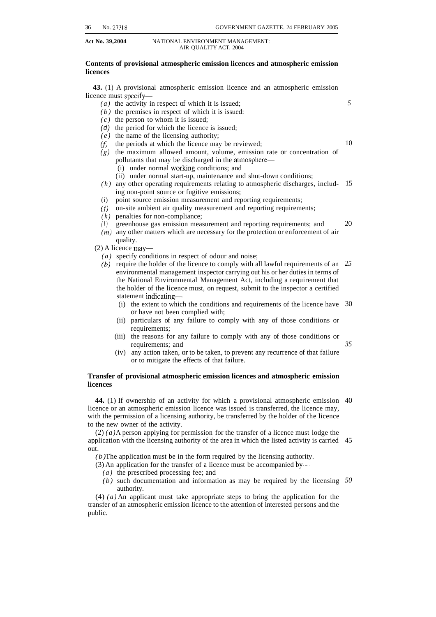*5* 

10

#### Act No. 39,2004 **NATIONAL ENVIRONMENT MANAGEMENT:** AIR QUALITY ACT. 2004

#### **Contents of provisional atmospheric emission licences and atmospheric emission licences**

**43.** (1) A provisional atmospheric emission licence and an atmospheric emission licence must specify-

- *(a)* the activity in respect of which it is issued;
- *(b)* the premises in respect of which it is issued:
- $(c)$  the person to whom it is issued;
- *(d)* the period for which the licence is issued;
- *(e)* the name of the licensing authority;
- $(f)$  the periods at which the licence may be reviewed;
- *(g)* the maximum allowed amount, volume, emission rate or concentration of pollutants that may be discharged in the atmosphere-
	- (i) under normal working conditions; and
	- (ii) under normal start-up, maintenance and shut-down conditions;
- ing non-point source or fugitive emissions; *(h)* any other operating requirements relating to atmospheric discharges, includ- 15
- (i) point source emission measurement and reporting requirements;
- *(j)* on-site ambient air quality measurement and reporting requirements;
- $(k)$  penalties for non-compliance;
- *(I)* greenhouse gas emission measurement and reporting requirements; and 20
- *(m)* any other matters which are necessary for the protection or enforcement of air quality.
- $(2)$  A licence may-
	- *(a)* specify conditions in respect of odour and noise;
	- *(6)* require the holder of the licence to comply with all lawful requirements of an *25*  environmental management inspector carrying out his or her duties in terms of the National Environmental Management Act, including a requirement that the holder of the licence must, on request, submit to the inspector a certified statement indicating-
		- (i) the extent to which the conditions and requirements of the licence have 30 or have not been complied with;
		- (ii) particulars of any failure to comply with any of those conditions or requirements;
		- (iii) the reasons for any failure to comply with any of those conditions or requirements; and *35*
		- (iv) any action taken, or to be taken, to prevent any recurrence of that failure or to mitigate the effects of that failure.

#### **Transfer of provisional atmospheric emission licences and atmospheric emission licences**

**44.** (1) If ownership of an activity for which a provisional atmospheric emission 40 licence or an atmospheric emission licence was issued is transferred, the licence may, with the permission of a licensing authority, be transferred by the holder of the licence to the new owner of the activity.

(2) *(a)* A person applying for permission for the transfer of a licence must lodge the application with the licensing authority of the area in which the listed activity is carried 45 out.

*(b)* The application must be in the form required by the licensing authority.

- (3) An application for the transfer of a licence must be accompanied by-
	- *(a)* the prescribed processing fee; and
	- *(b)* such documentation and information as may be required by the licensing *50* authority.

(4) *(a)* An applicant must take appropriate steps to bring the application for the transfer of an atmospheric emission licence to the attention of interested persons and the public.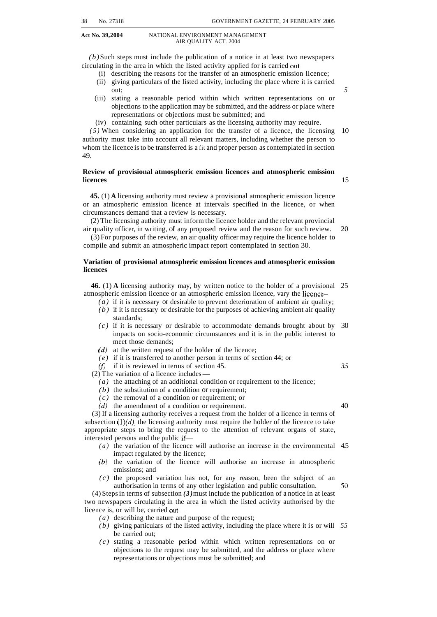*(b)* Such steps must include the publication of a notice in at least two newspapers circulating in the area in which the listed activity applied for is carried out-

- (i) describing the reasons for the transfer of an atmospheric emission licence;
- (ii) giving particulars of the listed activity, including the place where it is carried out; *5*
- (iii) stating a reasonable period within which written representations on or objections to the application may be submitted, and the address or place where representations or objections must be submitted; and
- (iv) containing such other particulars as the licensing authority may require.

authority must take into account all relevant matters, including whether the person to whom the licence is to be transferred is a fit and proper person as contemplated in section 49. *(5)* When considering an application for the transfer of a licence, the licensing 10

#### **Review of provisional atmospheric emission licences and atmospheric emission licences** 15

**45.** (1) **A** licensing authority must review a provisional atmospheric emission licence or an atmospheric emission licence at intervals specified in the licence, or when circumstances demand that a review is necessary.

(2) The licensing authority must inform the licence holder and the relevant provincial air quality officer, in writing, of any proposed review and the reason for such review. 20

(3) For purposes of the review, an air quality officer may require the licence holder to compile and submit an atmospheric impact report contemplated in section 30.

#### **Variation of provisional atmospheric emission licences and atmospheric emission licences**

**46.** (1) **A** licensing authority may, by written notice to the holder of a provisional 25 atmospheric emission licence or an atmospheric emission licence, vary the licence-

- *(a)* if it is necessary or desirable to prevent deterioration of ambient air quality; *(b)* if it is necessary or desirable for the purposes of achieving ambient air quality standards;
- *(c)* if it is necessary or desirable to accommodate demands brought about by 30 impacts on socio-economic circumstances and it is in the public interest to meet those demands;
- *(d)* at the written request of the holder of the licence;
- *(e)* if it is transferred to another person in terms of section 44; or <br>
(f) if it is reviewed in terms of section 45.<br>
(2) The variation of a licence includes —<br>
(a) the strashing of an additional condition or negation<br>
- *(f)* if it is reviewed in terms of section 45.<br>(2) The variation of a licence includes —

- *(a)* the attaching of an additional condition or requirement to the licence;
- *(b)* the substitution of a condition or requirement;
- *(c)* the removal of a condition or requirement; or
- *(d)* the amendment of a condition or requirement. 40

(3) If a licensing authority receives a request from the holder of a licence in terms of subsection  $(1)(d)$ , the licensing authority must require the holder of the licence to take appropriate steps to bring the request to the attention of relevant organs of state, interested persons and the public if-

- *(a)* the variation of the licence will authorise an increase in the environmental 4.5 impact regulated by the licence;
- *(6)* the variation of the licence will authorise an increase in atmospheric emissions; and
- *(c)* the proposed variation has not, for any reason, been the subject of an authorisation in terms of any other legislation and public consultation.  $50$

(4) Steps in terms of subsection *(3)* must include the publication of a notice in at least two newspapers circulating in the area in which the listed activity authorised by the licence is, or will be, carried out-

- *(a)* describing the nature and purpose of the request;
- *(b)* giving particulars of the listed activity, including the place where it is or will *55*  be carried out;
- *(c)* stating a reasonable period within which written representations on or objections to the request may be submitted, and the address or place where representations or objections must be submitted; and

*3.5*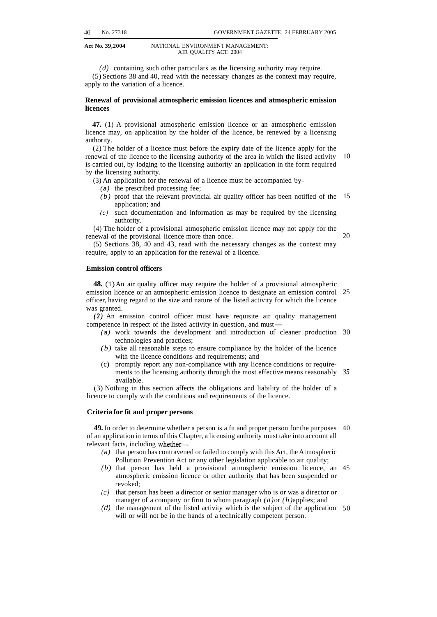*(d)* containing such other particulars as the licensing authority may require. (5) Sections 38 and 40, read with the necessary changes as the context may require, apply to the variation of a licence.

#### **Renewal of provisional atmospheric emission licences and atmospheric emission licences**

**47.** (1) A provisional atmospheric emission licence or an atmospheric emission licence may, on application by the holder of the licence, be renewed by a licensing authority.

(2) The holder of a licence must before the expiry date of the licence apply for the renewal of the licence to the licensing authority of the area in which the listed activity is carried out, by lodging to the licensing authority an application in the form required by the licensing authority. 10

- (3) An application for the renewal of a licence must be accompanied by-
	- *(a)* the prescribed processing fee;
	- *(b)* proof that the relevant provincial air quality officer has been notified of the 15 application; and
	- *(e)* such documentation and information as may be required by the licensing authority.

(4) The holder of a provisional atmospheric emission licence may not apply for the renewal of the provisional licence more than once.

(5) Sections 38, 40 and 43, read with the necessary changes as the context may require, apply to an application for the renewal of a licence.

#### **Emission control officers**

**48.** (1) An air quality officer may require the holder of a provisional atmospheric emission licence or an atmospheric emission licence to designate an emission control 25 officer, having regard to the size and nature of the listed activity for which the licence was granted.

*(2)* An emission control officer must have requisite air quality management was granted.<br>
(2) An emission control officer must have requisite air quali<br>
competence in respect of the listed activity in question, and must<br>  $\frac{1}{2}$  (2) work towards the davelopment and introduction of also

- *(a)* work towards the development and introduction of cleaner production 30 technologies and practices;
- *(b)* take all reasonable steps to ensure compliance by the holder of the licence with the licence conditions and requirements; and
- (c) promptly report any non-compliance with any licence conditions or requirements to the licensing authority through the most effective means reasonably *35*  available.

(3) Nothing in this section affects the obligations and liability of the holder of a licence to comply with the conditions and requirements of the licence.

#### **Criteria for fit and proper persons**

**49.** In order to determine whether a person is a fit and proper person for the purposes 40 of an application in terms of this Chapter, a licensing authority must take into account all relevant facts, including whether—

- *(a)* that person has contravened or failed to comply with this Act, the Atmospheric Pollution Prevention Act or any other legislation applicable to air quality;
- *(b)* that person has held a provisional atmospheric emission licence, an 45 atmospheric emission licence or other authority that has been suspended or revoked;
- (c) that person has been a director or senior manager who is or was a director or manager of a company or firm to whom paragraph *(a)* or *(b)* applies; and
- (d) the management of the listed activity which is the subject of the application 50 will or will not be in the hands of a technically competent person.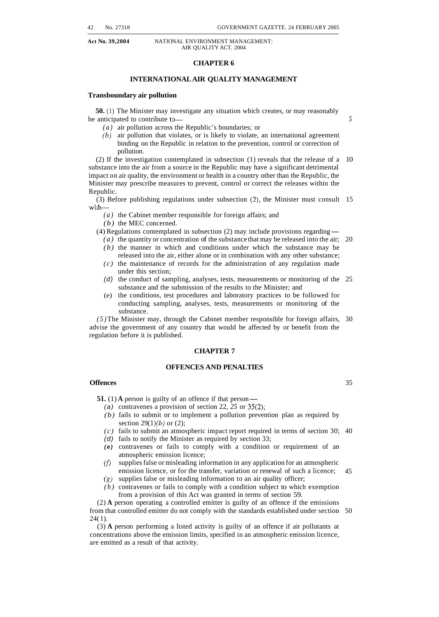#### **CHAPTER 6**

#### **INTERNATIONAL AIR QUALITY MANAGEMENT**

#### **Transboundary air pollution**

**50.** (1) The Minister may investigate any situation which creates, or may reasonably be anticipated to contribute to-

- *(a)* air pollution across the Republic's boundaries; or
- *(b)* air pollution that violates, or is likely to violate, an international agreement binding on the Republic in relation to the prevention, control or correction of pollution.

(2) If the investigation contemplated in subsection (1) reveals that the release of a 10 substance into the air from a source in the Republic may have a significant detrimental impact on air quality, the environment or health in a country other than the Republic, the Minister may prescribe measures to prevent, control or correct the releases within the Republic.

(3) Before publishing regulations under subsection (2), the Minister must consult 15 with-

*(a)* the Cabinet member responsible for foreign affairs; and

*(b)* the MEC concerned.

(4) Regulations contemplated in subsection (2) may include provisions regarding-

- *(a)* the quantity or concentration of the substance that may be released into the air; 20 *(b)* the manner in which and conditions under which the substance may be
- released into the air, either alone or in combination with any other substance; *(c)* the maintenance of records for the administration of any regulation made under this section;
- *(d)* the conduct of sampling, analyses, tests, measurements or monitoring of the 25 substance and the submission of the results to the Minister; and
- (e) the conditions, test procedures and laboratory practices to be followed for conducting sampling, analyses, tests, measurements or monitoring of the substance.

*(5)* The Minister may, through the Cabinet member responsible for foreign affairs, 30 advise the government of any country that would be affected by or benefit from the regulation before it is published.

#### **CHAPTER 7**

#### **OFFENCES AND PENALTIES**

#### **Offences**

**51.** (1) **A** person is guilty of an offence if that person-

- *(a)* contravenes a provision of section 22, *25* or 35(2);
- *(b)* fails to submit or to implement a pollution prevention plan as required by section  $29(1)(b)$  or (2);
- *(c)* fails to submit an atmospheric impact report required in terms of section 30; 40
- *(d)* fails to notify the Minister as required by section 33;
- *(e)* contravenes or fails to comply with a condition or requirement of an atmospheric emission licence;
- $(f)$  supplies false or misleading information in any application for an atmospheric emission licence, or for the transfer, variation or renewal of such a licence; 45
- (g) supplies false or misleading information to an air quality officer;
- *(h)* contravenes or fails to comply with a condition subject to which exemption from a provision of this Act was granted in terms of section 59.

(2) **A** person operating a controlled emitter is guilty of an offence if the emissions from that controlled emitter do not comply with the standards established under section 50 24( 1).

(3) **A** person performing a listed activity is guilty of an offence if air pollutants at concentrations above the emission limits, specified in an atmospheric emission licence, are emitted as a result of that activity.

*5*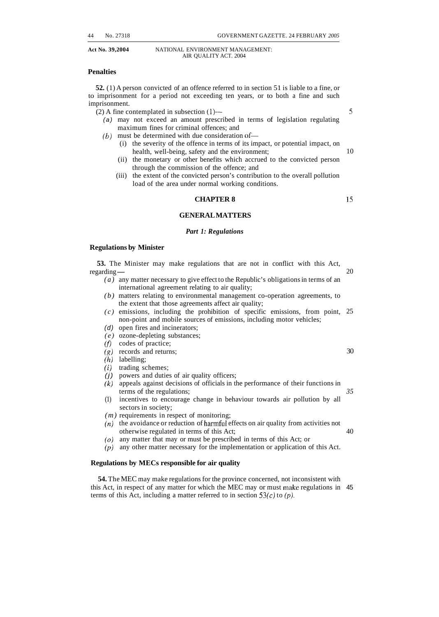#### **Penalties**

**52.** (1) A person convicted of an offence referred to in section 51 is liable to a fine, or to imprisonment for a period not exceeding ten years, or to both a fine and such imprisonment.

(2) A fine contemplated in subsection **(1)-** 

- *(a)* may not exceed an amount prescribed in terms of legislation regulating maximum fines for criminal offences; and
- $(b)$  must be determined with due consideration of-
	- (i) the severity of the offence in terms of its impact, or potential impact, on health, well-being, safety and the environment; 10
	- (ii) the monetary or other benefits which accrued to the convicted person through the commission of the offence; and
	- (iii) the extent of the convicted person's contribution to the overall pollution load of the area under normal working conditions.

#### **CHAPTER 8**

#### **GENERAL MATTERS**

#### *Part 1: Regulations*

#### **Regulations by Minister**

**53.** The Minister may make regulations that are not in conflict with this Act, 53. The 1<br>regarding — 20

- *(a)* any matter necessary to give effect to the Republic's obligations in terms of an international agreement relating to air quality;
- *(b)* matters relating to environmental management co-operation agreements, to the extent that those agreements affect air quality;
- *(c)* emissions, including the prohibition of specific emissions, from point, 25 non-point and mobile sources of emissions, including motor vehicles;
- *(d)* open fires and incinerators;
- *(e)* ozone-depleting substances;
- *(f)* codes of practice;
- *(8)* records and returns;
- *(h)* labelling;
- *(i)* trading schemes;
- *(j)* powers and duties of air quality officers;
- *(k)* appeals against decisions of officials in the performance of their functions in terms of the regulations;
- (1) incentives to encourage change in behaviour towards air pollution by all sectors in society;
- *(m)* requirements in respect of monitoring;
- $(n)$  the avoidance or reduction of harmful effects on air quality from activities not otherwise regulated in terms of this Act; 40
- *(0)* any matter that may or must be prescribed in terms of this Act; or
- *(p)* any other matter necessary for the implementation or application of this Act.

#### **Regulations by MECs responsible for air quality**

**54.** The MEC may make regulations for the province concerned, not inconsistent with this Act, in respect of any matter for which the MEC may or must make regulations in 45 terms of this Act, including a matter referred to in section  $53(c)$  to  $(p)$ .

**S** 

1s

30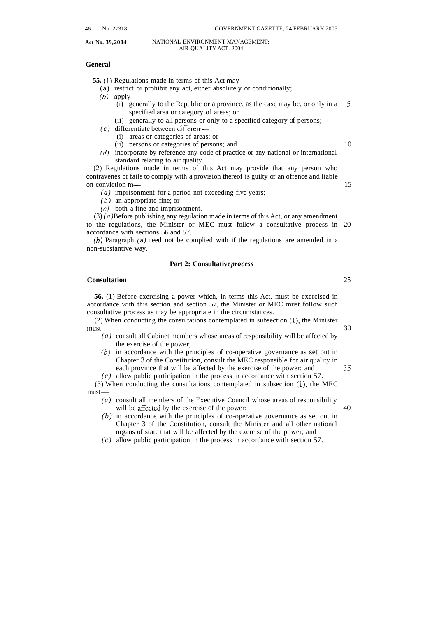#### **General**

**55.** (1) Regulations made in terms of this Act may—

- (a) restrict or prohibit any act, either absolutely or conditionally;
- $(b)$  apply-
	- (i) generally to the Republic or a province, as the case may be, or only in a *<sup>S</sup>* specified area or category of areas; or
	- (ii) generally to all persons or only to a specified category of persons;
- *(c)* differentiate between different-
	- (i) areas or categories of areas; or
	- (ii) persons or categories of persons; and 10
- standard relating to air quality. *(d)* incorporate by reference any code of practice or any national or international

(2) Regulations made in terms of this Act may provide that any person who contravenes or fails to comply with a provision thereof is guilty of an offence and liable on conviction to — 15

- *(a)* imprisonment for a period not exceeding five years;
- *(b)* an appropriate fine; or
- *(c)* both a fine and imprisonment.

(3) *(a)* Before publishing any regulation made in terms of this Act, or any amendment to the regulations, the Minister or MEC must follow a consultative process in 20 accordance with sections 56 and 57.

non-substantive way. (6) Paragraph *(a)* need not be complied with if the regulations are amended in a

#### **Part 2: Consultative** *process*

#### **Consultation** 25

**56.** (1) Before exercising a power which, in terms this Act, must be exercised in accordance with this section and section 57, the Minister or MEC must follow such consultative process as may be appropriate in the circumstances.

 $(2)$  When conducting the consultations contemplated in subsection  $(1)$ , the Minister  $must \rightarrow 30$ 

- *(a)* consult all Cabinet members whose areas of responsibility will be affected by the exercise of the power;
- *(b)* in accordance with the principles of co-operative governance as set out in Chapter 3 of the Constitution, consult the MEC responsible for air quality in each province that will be affected by the exercise of the power; and  $35$ *(c)* allow public participation in the process in accordance with section 57.

(3) When conducting the consultations contemplated in subsection (l), the MEC  $\begin{array}{c} (c) \\ (3) \text{ Wh} \\ \text{must} \end{array}$ 

- *(a)* consult all members of the Executive Council whose areas of responsibility will be affected by the exercise of the power; 40
- *(b)* in accordance with the principles of co-operative governance as set out in Chapter 3 of the Constitution, consult the Minister and all other national organs of state that will be affected by the exercise of the power; and
- *(c)* allow public participation in the process in accordance with section 57.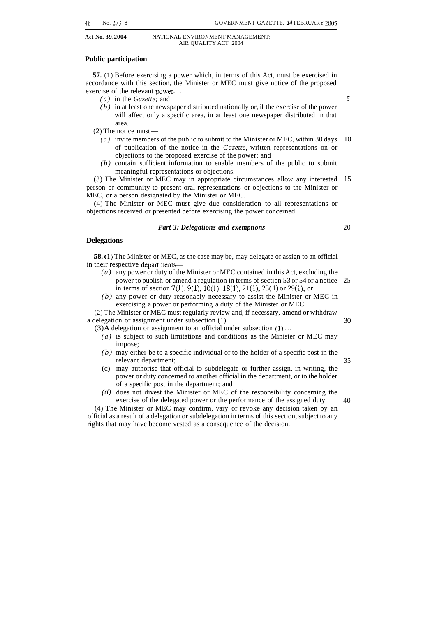#### **Public participation**

**57.** (1) Before exercising a power which, in terms of this Act, must be exercised in accordance with this section, the Minister or MEC must give notice of the proposed exercise of the relevant power-

- *(a)* in the *Gazette;* and
- *(b)* in at least one newspaper distributed nationally or, if the exercise of the power will affect only a specific area, in at least one newspaper distributed in that area.
- (2) The notice must-
	- *(a)* invite members of the public to submit to the Minister or MEC, within 30 days of publication of the notice in the *Gazette,* written representations on or objections to the proposed exercise of the power; and 10
	- *(b)* contain sufficient information to enable members of the public to submit meaningful representations or objections.

(3) The Minister or MEC may in appropriate circumstances allow any interested person or community to present oral representations or objections to the Minister or MEC, or a person designated by the Minister or MEC. 15

(4) The Minister or MEC must give due consideration to all representations or objections received or presented before exercising the power concerned.

#### *Part 3: Delegations and exemptions*

#### **Delegations**

**58.** (1) The Minister or MEC, as the case may be, may delegate or assign to an official in their respective departments—

- *(a)* any power or duty of the Minister or MEC contained in this Act, excluding the power to publish or amend a regulation in terms of section 53 or 54 or a notice 25 in terms of section  $7(1)$ ,  $9(1)$ ,  $10(1)$ ,  $18(1)$ ,  $21(1)$ ,  $23(1)$  or  $29(1)$ ; or
- *(b)* any power or duty reasonably necessary to assist the Minister or MEC in exercising a power or performing a duty of the Minister or MEC.

(2) The Minister or MEC must regularly review and, if necessary, amend or withdraw a delegation or assignment under subsection (1).

- $(3)$ **A** delegation or assignment to an official under subsection  $(1)$ 
	- *(a)* is subject to such limitations and conditions as the Minister or MEC may impose;
	- *(b)* may either be to a specific individual or to the holder of a specific post in the relevant department;
	- (c) may authorise that official to subdelegate or further assign, in writing, the power or duty concerned to another official in the department, or to the holder of a specific post in the department; and
	- *(d)* does not divest the Minister or MEC of the responsibility concerning the exercise of the delegated power or the performance of the assigned duty.

(4) The Minister or MEC may confirm, vary or revoke any decision taken by an official as a result of a delegation or subdelegation in terms of this section, subject to any rights that may have become vested as a consequence of the decision.

30

35

20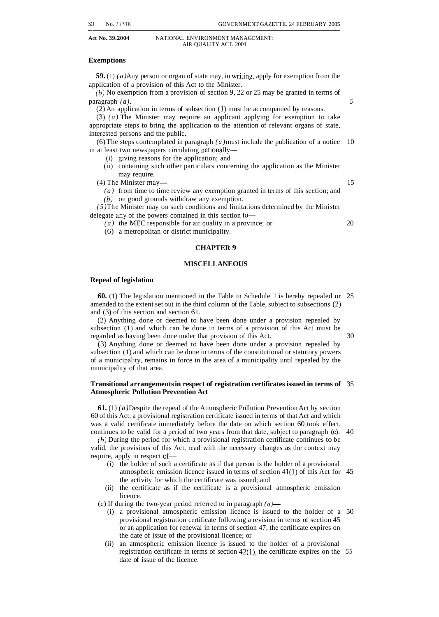#### **Exemptions**

**59.** (1) *(a)* Any person or organ of state may, in writing, apply for exemption from the application of a provision of this Act to the Minister.

 $(b)$  No exemption from a provision of section 9, 22 or 25 may be granted in terms of  $\alpha$  **paragraph** *(a).* 5

(2) An application in terms of subsection **(1)** must be accompanied by reasons.

(3) *(a)* The Minister may require an applicant applying for exemption to take appropriate steps to bring the application to the attention of relevant organs of state, interested persons and the public.

in at least two newspapers circulating nationally- (6) The steps contemplated in paragraph *(a)* must include the publication of a notice 10

- (i) giving reasons for the application; and
- (ii) containing such other particulars concerning the application as the Minister may require.

(4) The Minister may— 15

*(a)* from time to time review any exemption granted in terms of this section; and

 $(b)$  on good grounds withdraw any exemption.

*(5)* The Minister may on such conditions and limitations determined by the Minister delegate any of the powers contained in this section to-

*(a)* the MEC responsible for air quality in a province; or 20

(6) a metropolitan or district municipality.

#### **CHAPTER 9**

#### **MISCELLANEOUS**

#### **Repeal of legislation**

**60.** (1) The legislation mentioned in the Table in Schedule 1 is hereby repealed or 25 amended to the extent set out in the third column of the Table, subject to subsections (2) and (3) of this section and section 61.

(2) Anything done or deemed to have been done under a provision repealed by subsection (1) and which can be done in terms of a provision of this Act must be regarded as having been done under that provision of this Act. 30

(3) Anything done or deemed to have been done under a provision repealed by subsection (1) and which can be done in terms of the constitutional or statutory powers of a municipality, remains in force in the area of a municipality until repealed by the municipality of that area.

#### **Transitional arrangements in respect of registration certificates issued in terms of** 35 **Atmospheric Pollution Prevention Act**

**61.** (1) *(a)* Despite the repeal of the Atmospheric Pollution Prevention Act by section 60 of this Act, a provisional registration certificate issued in terms of that Act and which was a valid certificate immediately before the date on which section 60 took effect, continues to be valid for a period of two years from that date, subject to paragraph (c). 40

*(b)* During the period for which a provisional registration certificate continues to be valid, the provisions of this Act, read with the necessary changes as the context may require, apply in respect of-

- (i) the holder of such a certificate as if that person is the holder of a provisional atmospheric emission licence issued in terms of section 41(1) of this Act for 45 the activity for which the certificate was issued; and
- licence. (ii) the certificate as if the certificate is a provisional atmospheric emission

(c) If during the two-year period referred to in paragraph  $(a)$ —

- (i) a provisional atmospheric emission licence is issued to the holder of a 50 provisional registration certificate following a revision in terms of section 45 or an application for renewal in terms of section 47, the certificate expires on the date of issue of the provisional licence; or
- (ii) an atmospheric emission licence is issued to the holder of a provisional registration certificate in terms of section 42(1), the certificate expires on the *55*  date of issue of the licence.

SO No. 27318 GOVERNMENT GAZETTE. 24 FEBRUARY 2005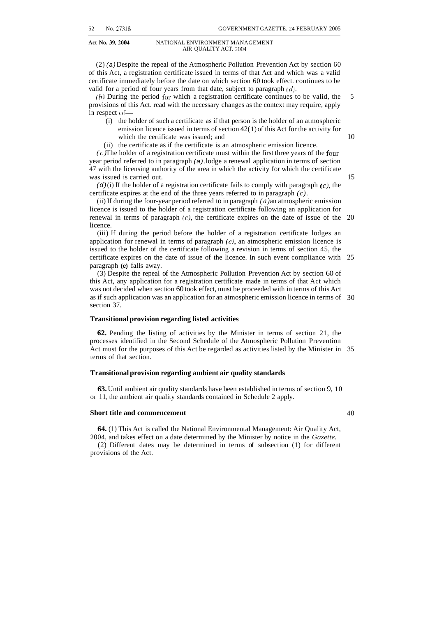(2) *(a)* Despite the repeal of the Atmospheric Pollution Prevention Act by section 60 of this Act, a registration certificate issued in terms of that Act and which was a valid certificate immediately before the date on which section 60 took effect. continues to be valid for a period of four years from that date, subject to paragraph *(d).* 

*(b)* During the period for which a registration certificate continues to be valid, the provisions of this Act. read with the necessary changes as the context may require, apply in respect of- 5

- (i) the holder of such a certificate as if that person is the holder of an atmospheric emission licence issued in terms of section 42( 1) of this Act for the activity for which the certificate was issued; and
- (ii) the certificate as if the certificate is an atmospheric emission licence.

*(c)* The holder of a registration certificate must within the first three years of the fouryear period referred to in paragraph *(a),* lodge a renewal application in terms of section 47 with the licensing authority of the area in which the activity for which the certificate was issued is carried out.

 $(d)(i)$  If the holder of a registration certificate fails to comply with paragraph  $(c)$ , the certificate expires at the end of the three years referred to in paragraph *(c).* 

(ii) If during the four-year period referred to in paragraph *(a)* an atmospheric emission licence is issued to the holder of a registration certificate following an application for renewal in terms of paragraph  $(c)$ , the certificate expires on the date of issue of the  $20$ licence.

(iii) If during the period before the holder of a registration certificate lodges an application for renewal in terms of paragraph *(c),* an atmospheric emission licence is issued to the holder of the certificate following a revision in terms of section 45, the certificate expires on the date of issue of the licence. In such event compliance with 25 paragraph **(c)** falls away.

(3) Despite the repeal of the Atmospheric Pollution Prevention Act by section 60 of this Act, any application for a registration certificate made in terms of that Act which was not decided when section 60 took effect, must be proceeded with in terms of this Act as if such application was an application for an atmospheric emission licence in terms of 30 section 37.

#### **Transitional provision regarding listed activities**

**62.** Pending the listing of activities by the Minister in terms of section 21, the processes identified in the Second Schedule of the Atmospheric Pollution Prevention Act must for the purposes of this Act be regarded as activities listed by the Minister in 35 terms of that section.

#### **Transitional provision regarding ambient air quality standards**

**63.** Until ambient air quality standards have been established in terms of section 9, 10 or 11, the ambient air quality standards contained in Schedule 2 apply.

#### **Short title and commencement**

**64.** (1) This Act is called the National Environmental Management: Air Quality Act, 2004, and takes effect on a date determined by the Minister by notice in the *Gazette.* 

(2) Different dates may be determined in terms of subsection (1) for different provisions of the Act.

10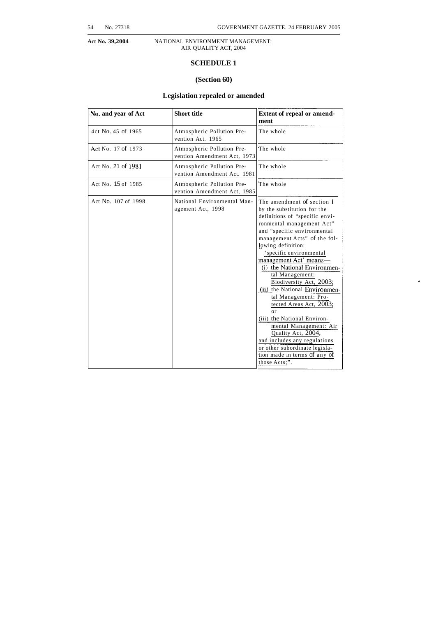## **SCHEDULE 1**

#### **(Section 60)**

#### **Legislation repealed or amended**

| No. and year of Act | <b>Short title</b>                                        | Extent of repeal or amend-<br>ment                                                                                                                                                                                                                                                                                                                                                                                                                                                                                                                                                                                                               |
|---------------------|-----------------------------------------------------------|--------------------------------------------------------------------------------------------------------------------------------------------------------------------------------------------------------------------------------------------------------------------------------------------------------------------------------------------------------------------------------------------------------------------------------------------------------------------------------------------------------------------------------------------------------------------------------------------------------------------------------------------------|
| 4ct No. 45 of 1965  | Atmospheric Pollution Pre-<br>vention Act. 1965           | The whole                                                                                                                                                                                                                                                                                                                                                                                                                                                                                                                                                                                                                                        |
| Act No. 17 of 1973  | Atmospheric Pollution Pre-<br>vention Amendment Act, 1973 | The whole                                                                                                                                                                                                                                                                                                                                                                                                                                                                                                                                                                                                                                        |
| Act No. 21 of 1981  | Atmospheric Pollution Pre-<br>vention Amendment Act. 1981 | The whole                                                                                                                                                                                                                                                                                                                                                                                                                                                                                                                                                                                                                                        |
| Act No. 15 of 1985  | Atmospheric Pollution Pre-<br>vention Amendment Act, 1985 | The whole                                                                                                                                                                                                                                                                                                                                                                                                                                                                                                                                                                                                                                        |
| Act No. 107 of 1998 | National Environmental Man-<br>agement Act, 1998          | The amendment of section 1<br>by the substitution for the<br>definitions of "specific envi-<br>ronmental management Act"<br>and "specific environmental<br>management Acts" of the fol-<br>lowing definition:<br>'specific environmental<br>management Act' means-<br>(i) the National Environmen-<br>tal Management:<br>Biodiversity Act, 2003;<br>(ii) the National Environmen-<br>tal Management: Pro-<br>tected Areas Act, 2003;<br>$_{0}r$<br>(iii) the National Environ-<br>mental Management: Air<br>Quality Act, 2004,<br>and includes any regulations<br>or other subordinate legisla-<br>tion made in terms of any of<br>those Acts;". |